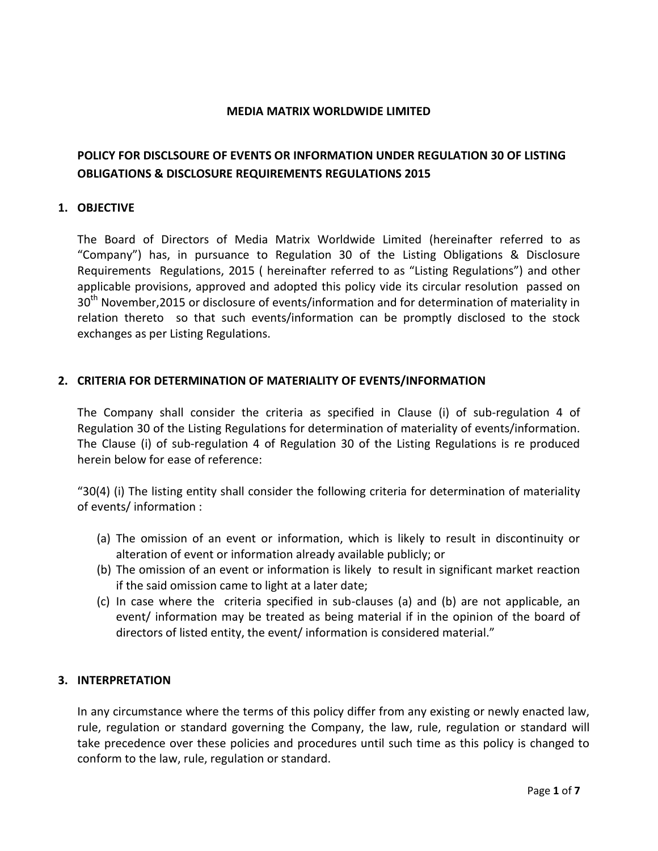### **MEDIA MATRIX WORLDWIDE LIMITED**

# **POLICY FOR DISCLSOURE OF EVENTS OR INFORMATION UNDER REGULATION 30 OF LISTING OBLIGATIONS & DISCLOSURE REQUIREMENTS REGULATIONS 2015**

#### **1. OBJECTIVE**

The Board of Directors of Media Matrix Worldwide Limited (hereinafter referred to as "Company") has, in pursuance to Regulation 30 of the Listing Obligations & Disclosure Requirements Regulations, 2015 ( hereinafter referred to as "Listing Regulations") and other applicable provisions, approved and adopted this policy vide its circular resolution passed on 30<sup>th</sup> November, 2015 or disclosure of events/information and for determination of materiality in relation thereto so that such events/information can be promptly disclosed to the stock exchanges as per Listing Regulations.

# **2. CRITERIA FOR DETERMINATION OF MATERIALITY OF EVENTS/INFORMATION**

The Company shall consider the criteria as specified in Clause (i) of sub-regulation 4 of Regulation 30 of the Listing Regulations for determination of materiality of events/information. The Clause (i) of sub-regulation 4 of Regulation 30 of the Listing Regulations is re produced herein below for ease of reference:

"30(4) (i) The listing entity shall consider the following criteria for determination of materiality of events/ information :

- (a) The omission of an event or information, which is likely to result in discontinuity or alteration of event or information already available publicly; or
- (b) The omission of an event or information is likely to result in significant market reaction if the said omission came to light at a later date;
- (c) In case where the criteria specified in sub-clauses (a) and (b) are not applicable, an event/ information may be treated as being material if in the opinion of the board of directors of listed entity, the event/ information is considered material."

# **3. INTERPRETATION**

In any circumstance where the terms of this policy differ from any existing or newly enacted law, rule, regulation or standard governing the Company, the law, rule, regulation or standard will take precedence over these policies and procedures until such time as this policy is changed to conform to the law, rule, regulation or standard.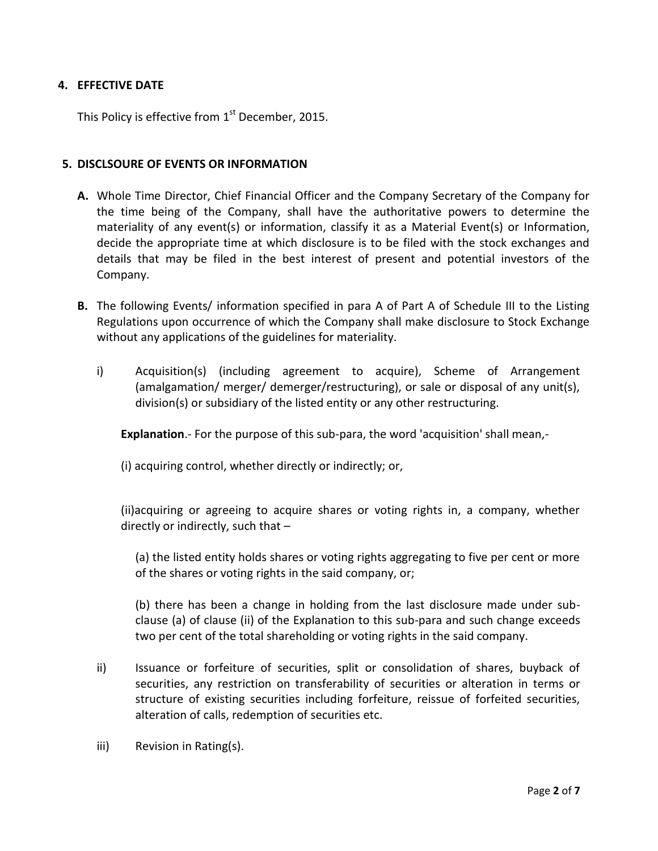# **4. EFFECTIVE DATE**

This Policy is effective from  $1^{\text{st}}$  December, 2015.

#### **5. DISCLSOURE OF EVENTS OR INFORMATION**

- **A.** Whole Time Director, Chief Financial Officer and the Company Secretary of the Company for the time being of the Company, shall have the authoritative powers to determine the materiality of any event(s) or information, classify it as a Material Event(s) or Information, decide the appropriate time at which disclosure is to be filed with the stock exchanges and details that may be filed in the best interest of present and potential investors of the Company.
- **B.** The following Events/ information specified in para A of Part A of Schedule III to the Listing Regulations upon occurrence of which the Company shall make disclosure to Stock Exchange without any applications of the guidelines for materiality.
	- i) Acquisition(s) (including agreement to acquire), Scheme of Arrangement (amalgamation/ merger/ demerger/restructuring), or sale or disposal of any unit(s), division(s) or subsidiary of the listed entity or any other restructuring.

**Explanation**.- For the purpose of this sub-para, the word 'acquisition' shall mean,-

(i) acquiring control, whether directly or indirectly; or,

(ii)acquiring or agreeing to acquire shares or voting rights in, a company, whether directly or indirectly, such that –

(a) the listed entity holds shares or voting rights aggregating to five per cent or more of the shares or voting rights in the said company, or;

(b) there has been a change in holding from the last disclosure made under subclause (a) of clause (ii) of the Explanation to this sub-para and such change exceeds two per cent of the total shareholding or voting rights in the said company.

- ii) Issuance or forfeiture of securities, split or consolidation of shares, buyback of securities, any restriction on transferability of securities or alteration in terms or structure of existing securities including forfeiture, reissue of forfeited securities, alteration of calls, redemption of securities etc.
- iii) Revision in Rating(s).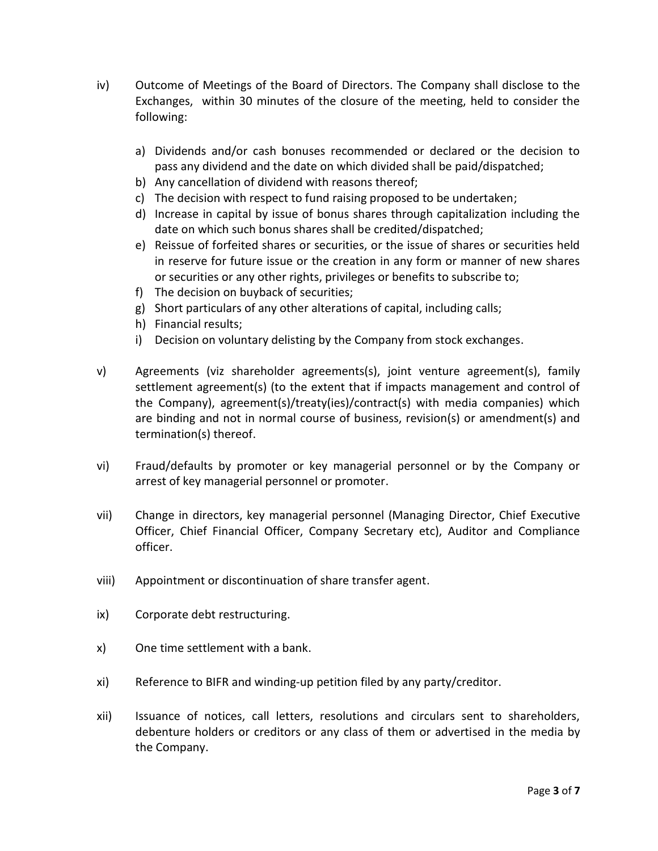- iv) Outcome of Meetings of the Board of Directors. The Company shall disclose to the Exchanges, within 30 minutes of the closure of the meeting, held to consider the following:
	- a) Dividends and/or cash bonuses recommended or declared or the decision to pass any dividend and the date on which divided shall be paid/dispatched;
	- b) Any cancellation of dividend with reasons thereof;
	- c) The decision with respect to fund raising proposed to be undertaken;
	- d) Increase in capital by issue of bonus shares through capitalization including the date on which such bonus shares shall be credited/dispatched;
	- e) Reissue of forfeited shares or securities, or the issue of shares or securities held in reserve for future issue or the creation in any form or manner of new shares or securities or any other rights, privileges or benefits to subscribe to;
	- f) The decision on buyback of securities;
	- g) Short particulars of any other alterations of capital, including calls;
	- h) Financial results;
	- i) Decision on voluntary delisting by the Company from stock exchanges.
- v) Agreements (viz shareholder agreements(s), joint venture agreement(s), family settlement agreement(s) (to the extent that if impacts management and control of the Company), agreement(s)/treaty(ies)/contract(s) with media companies) which are binding and not in normal course of business, revision(s) or amendment(s) and termination(s) thereof.
- vi) Fraud/defaults by promoter or key managerial personnel or by the Company or arrest of key managerial personnel or promoter.
- vii) Change in directors, key managerial personnel (Managing Director, Chief Executive Officer, Chief Financial Officer, Company Secretary etc), Auditor and Compliance officer.
- viii) Appointment or discontinuation of share transfer agent.
- ix) Corporate debt restructuring.
- x) One time settlement with a bank.
- xi) Reference to BIFR and winding-up petition filed by any party/creditor.
- xii) Issuance of notices, call letters, resolutions and circulars sent to shareholders, debenture holders or creditors or any class of them or advertised in the media by the Company.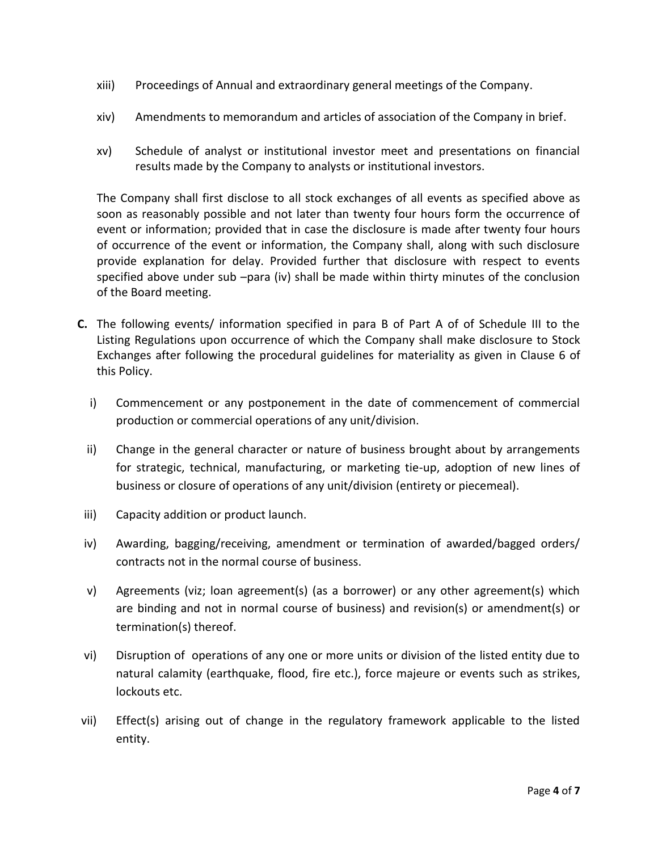- xiii) Proceedings of Annual and extraordinary general meetings of the Company.
- xiv) Amendments to memorandum and articles of association of the Company in brief.
- xv) Schedule of analyst or institutional investor meet and presentations on financial results made by the Company to analysts or institutional investors.

The Company shall first disclose to all stock exchanges of all events as specified above as soon as reasonably possible and not later than twenty four hours form the occurrence of event or information; provided that in case the disclosure is made after twenty four hours of occurrence of the event or information, the Company shall, along with such disclosure provide explanation for delay. Provided further that disclosure with respect to events specified above under sub –para (iv) shall be made within thirty minutes of the conclusion of the Board meeting.

- **C.** The following events/ information specified in para B of Part A of of Schedule III to the Listing Regulations upon occurrence of which the Company shall make disclosure to Stock Exchanges after following the procedural guidelines for materiality as given in Clause 6 of this Policy.
	- i) Commencement or any postponement in the date of commencement of commercial production or commercial operations of any unit/division.
	- ii) Change in the general character or nature of business brought about by arrangements for strategic, technical, manufacturing, or marketing tie-up, adoption of new lines of business or closure of operations of any unit/division (entirety or piecemeal).
- iii) Capacity addition or product launch.
- iv) Awarding, bagging/receiving, amendment or termination of awarded/bagged orders/ contracts not in the normal course of business.
- v) Agreements (viz; loan agreement(s) (as a borrower) or any other agreement(s) which are binding and not in normal course of business) and revision(s) or amendment(s) or termination(s) thereof.
- vi) Disruption of operations of any one or more units or division of the listed entity due to natural calamity (earthquake, flood, fire etc.), force majeure or events such as strikes, lockouts etc.
- vii) Effect(s) arising out of change in the regulatory framework applicable to the listed entity.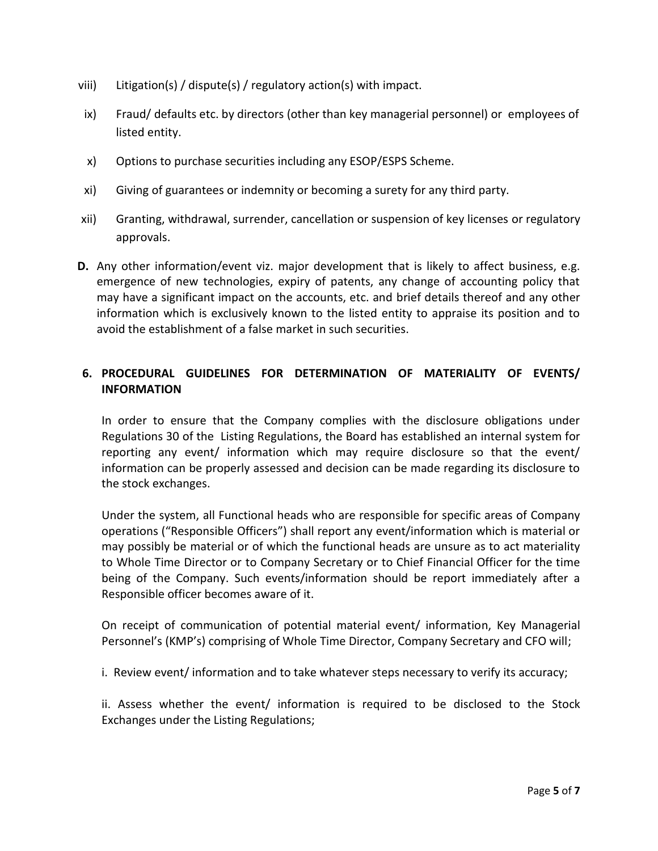- viii) Litigation(s) / dispute(s) / regulatory action(s) with impact.
- ix) Fraud/ defaults etc. by directors (other than key managerial personnel) or employees of listed entity.
- x) Options to purchase securities including any ESOP/ESPS Scheme.
- xi) Giving of guarantees or indemnity or becoming a surety for any third party.
- xii) Granting, withdrawal, surrender, cancellation or suspension of key licenses or regulatory approvals.
- **D.** Any other information/event viz. major development that is likely to affect business, e.g. emergence of new technologies, expiry of patents, any change of accounting policy that may have a significant impact on the accounts, etc. and brief details thereof and any other information which is exclusively known to the listed entity to appraise its position and to avoid the establishment of a false market in such securities.

# **6. PROCEDURAL GUIDELINES FOR DETERMINATION OF MATERIALITY OF EVENTS/ INFORMATION**

In order to ensure that the Company complies with the disclosure obligations under Regulations 30 of the Listing Regulations, the Board has established an internal system for reporting any event/ information which may require disclosure so that the event/ information can be properly assessed and decision can be made regarding its disclosure to the stock exchanges.

Under the system, all Functional heads who are responsible for specific areas of Company operations ("Responsible Officers") shall report any event/information which is material or may possibly be material or of which the functional heads are unsure as to act materiality to Whole Time Director or to Company Secretary or to Chief Financial Officer for the time being of the Company. Such events/information should be report immediately after a Responsible officer becomes aware of it.

On receipt of communication of potential material event/ information, Key Managerial Personnel's (KMP's) comprising of Whole Time Director, Company Secretary and CFO will;

i. Review event/ information and to take whatever steps necessary to verify its accuracy;

ii. Assess whether the event/ information is required to be disclosed to the Stock Exchanges under the Listing Regulations;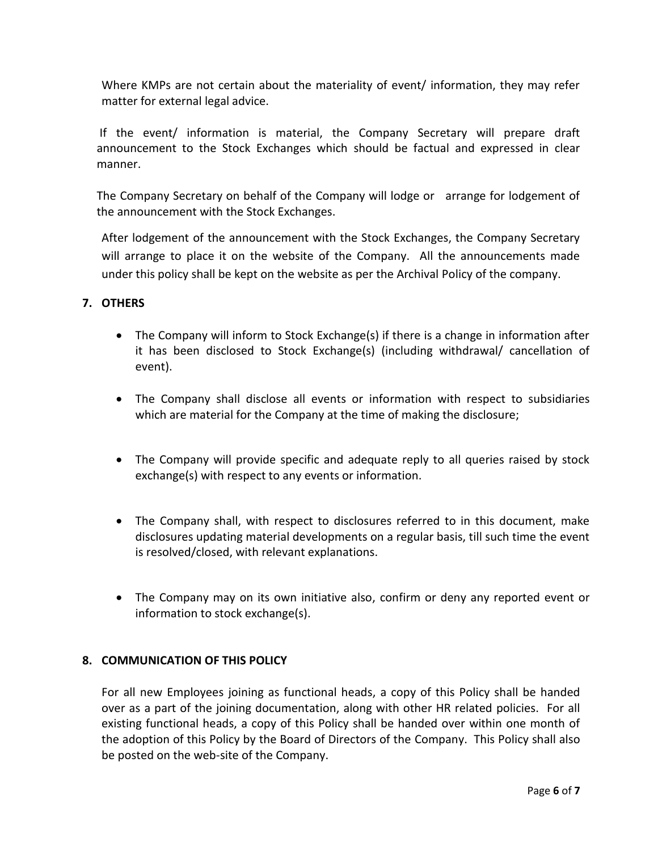Where KMPs are not certain about the materiality of event/ information, they may refer matter for external legal advice.

If the event/ information is material, the Company Secretary will prepare draft announcement to the Stock Exchanges which should be factual and expressed in clear manner.

The Company Secretary on behalf of the Company will lodge or arrange for lodgement of the announcement with the Stock Exchanges.

After lodgement of the announcement with the Stock Exchanges, the Company Secretary will arrange to place it on the website of the Company. All the announcements made under this policy shall be kept on the website as per the Archival Policy of the company.

# **7. OTHERS**

- The Company will inform to Stock Exchange(s) if there is a change in information after it has been disclosed to Stock Exchange(s) (including withdrawal/ cancellation of event).
- The Company shall disclose all events or information with respect to subsidiaries which are material for the Company at the time of making the disclosure;
- The Company will provide specific and adequate reply to all queries raised by stock exchange(s) with respect to any events or information.
- The Company shall, with respect to disclosures referred to in this document, make disclosures updating material developments on a regular basis, till such time the event is resolved/closed, with relevant explanations.
- The Company may on its own initiative also, confirm or deny any reported event or information to stock exchange(s).

# **8. COMMUNICATION OF THIS POLICY**

For all new Employees joining as functional heads, a copy of this Policy shall be handed over as a part of the joining documentation, along with other HR related policies. For all existing functional heads, a copy of this Policy shall be handed over within one month of the adoption of this Policy by the Board of Directors of the Company. This Policy shall also be posted on the web-site of the Company.